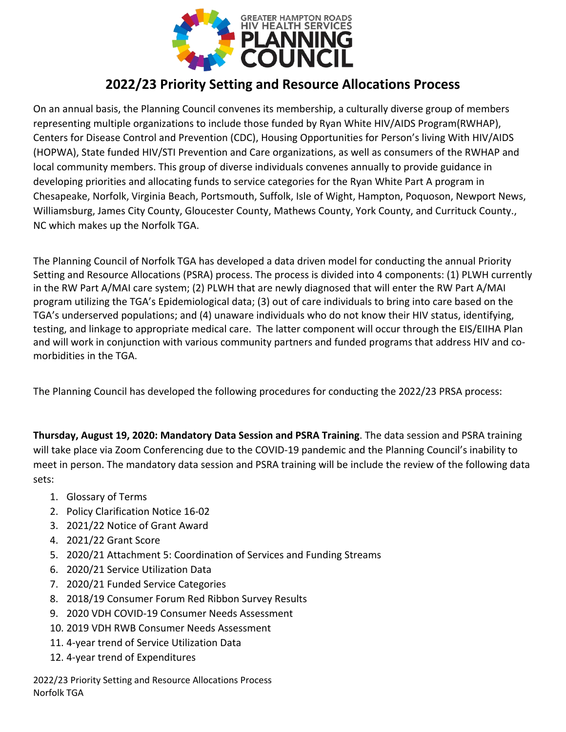

## **2022/23 Priority Setting and Resource Allocations Process**

On an annual basis, the Planning Council convenes its membership, a culturally diverse group of members representing multiple organizations to include those funded by Ryan White HIV/AIDS Program(RWHAP), Centers for Disease Control and Prevention (CDC), Housing Opportunities for Person's living With HIV/AIDS (HOPWA), State funded HIV/STI Prevention and Care organizations, as well as consumers of the RWHAP and local community members. This group of diverse individuals convenes annually to provide guidance in developing priorities and allocating funds to service categories for the Ryan White Part A program in Chesapeake, Norfolk, Virginia Beach, Portsmouth, Suffolk, Isle of Wight, Hampton, Poquoson, Newport News, Williamsburg, James City County, Gloucester County, Mathews County, York County, and Currituck County., NC which makes up the Norfolk TGA.

The Planning Council of Norfolk TGA has developed a data driven model for conducting the annual Priority Setting and Resource Allocations (PSRA) process. The process is divided into 4 components: (1) PLWH currently in the RW Part A/MAI care system; (2) PLWH that are newly diagnosed that will enter the RW Part A/MAI program utilizing the TGA's Epidemiological data; (3) out of care individuals to bring into care based on the TGA's underserved populations; and (4) unaware individuals who do not know their HIV status, identifying, testing, and linkage to appropriate medical care. The latter component will occur through the EIS/EIIHA Plan and will work in conjunction with various community partners and funded programs that address HIV and comorbidities in the TGA.

The Planning Council has developed the following procedures for conducting the 2022/23 PRSA process:

**Thursday, August 19, 2020: Mandatory Data Session and PSRA Training**. The data session and PSRA training will take place via Zoom Conferencing due to the COVID-19 pandemic and the Planning Council's inability to meet in person. The mandatory data session and PSRA training will be include the review of the following data sets:

- 1. Glossary of Terms
- 2. Policy Clarification Notice 16-02
- 3. 2021/22 Notice of Grant Award
- 4. 2021/22 Grant Score
- 5. 2020/21 Attachment 5: Coordination of Services and Funding Streams
- 6. 2020/21 Service Utilization Data
- 7. 2020/21 Funded Service Categories
- 8. 2018/19 Consumer Forum Red Ribbon Survey Results
- 9. 2020 VDH COVID-19 Consumer Needs Assessment
- 10. 2019 VDH RWB Consumer Needs Assessment
- 11. 4-year trend of Service Utilization Data
- 12. 4-year trend of Expenditures

2022/23 Priority Setting and Resource Allocations Process Norfolk TGA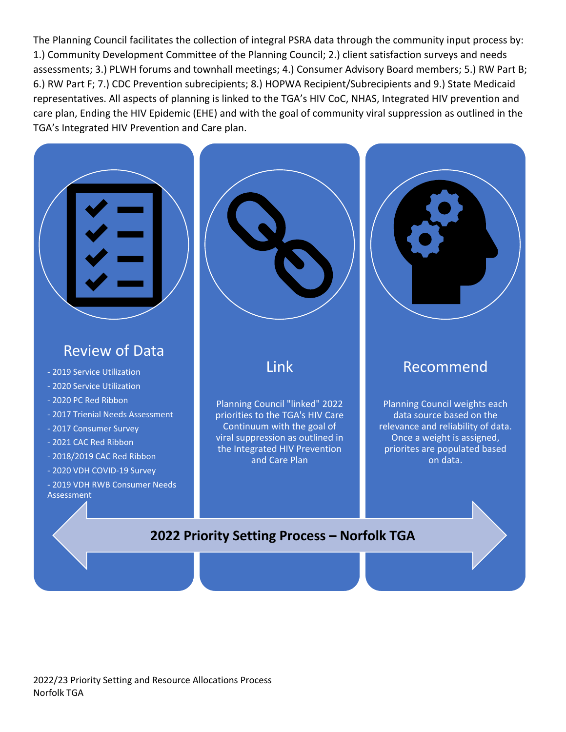The Planning Council facilitates the collection of integral PSRA data through the community input process by: 1.) Community Development Committee of the Planning Council; 2.) client satisfaction surveys and needs assessments; 3.) PLWH forums and townhall meetings; 4.) Consumer Advisory Board members; 5.) RW Part B; 6.) RW Part F; 7.) CDC Prevention subrecipients; 8.) HOPWA Recipient/Subrecipients and 9.) State Medicaid representatives. All aspects of planning is linked to the TGA's HIV CoC, NHAS, Integrated HIV prevention and care plan, Ending the HIV Epidemic (EHE) and with the goal of community viral suppression as outlined in the TGA's Integrated HIV Prevention and Care plan.

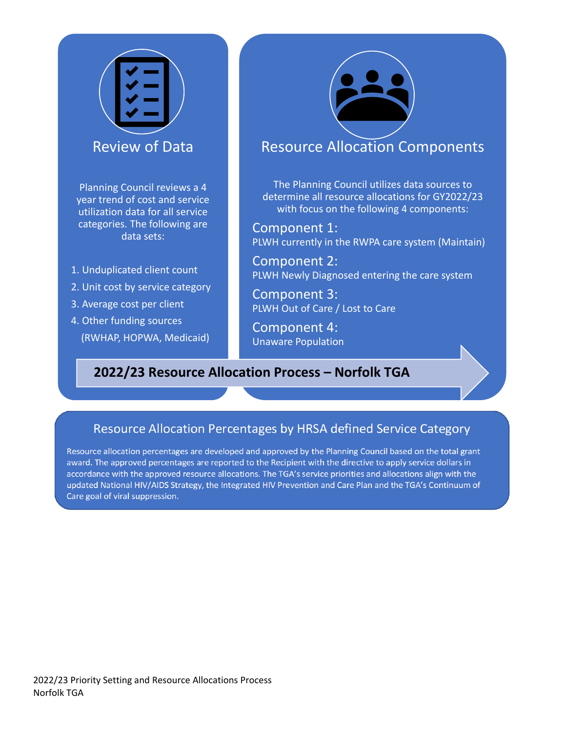

Planning Council reviews a 4 year trend of cost and service utilization data for all service categories. The following are data sets:

- 1. Unduplicated client count
- 2. Unit cost by service category
- 3. Average cost per client
- 4. Other funding sources (RWHAP, HOPWA, Medicaid)



## Resource Allocation Components

The Planning Council utilizes data sources to determine all resource allocations for GY2022/23 with focus on the following 4 components:

Component 1: PLWH currently in the RWPA care system (Maintain)

Component 2: PLWH Newly Diagnosed entering the care system

Component 3: PLWH Out of Care / Lost to Care

Component 4: Unaware Population

## **2022/23 Resource Allocation Process – Norfolk TGA**

## Resource Allocation Percentages by HRSA defined Service Category

Resource allocation percentages are developed and approved by the Planning Council based on the total grant award. The approved percentages are reported to the Recipient with the directive to apply service dollars in accordance with the approved resource allocations. The TGA's service priorities and allocations align with the updated National HIV/AIDS Strategy, the Integrated HIV Prevention and Care Plan and the TGA's Continuum of Care goal of viral suppression.